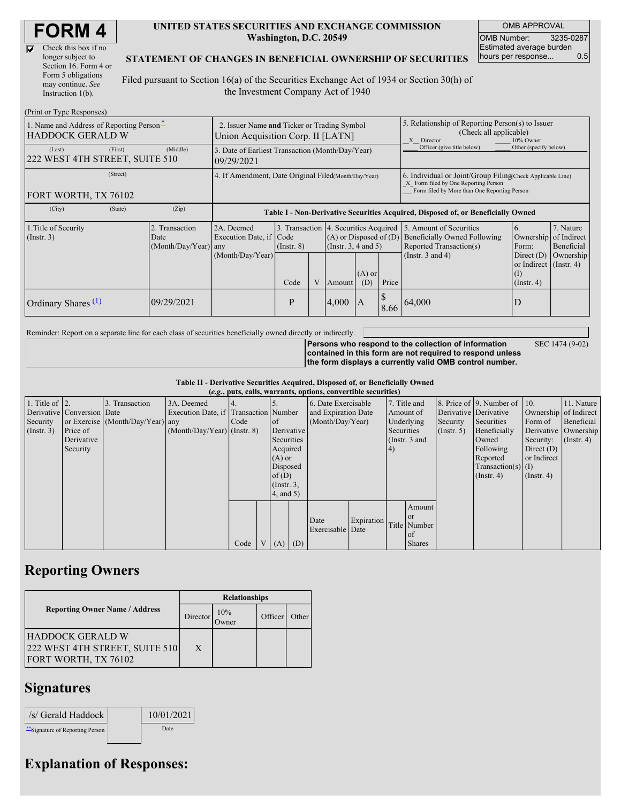| Check this box if no  |
|-----------------------|
| longer subject to     |
| Section 16. Form 4 or |
| Form 5 obligations    |
| may continue. See     |
| Instruction 1(b).     |

#### **UNITED STATES SECURITIES AND EXCHANGE COMMISSION Washington, D.C. 20549**

OMB APPROVAL OMB Number: 3235-0287 Estimated average burden hours per response... 0.5

#### **STATEMENT OF CHANGES IN BENEFICIAL OWNERSHIP OF SECURITIES**

Filed pursuant to Section 16(a) of the Securities Exchange Act of 1934 or Section 30(h) of the Investment Company Act of 1940

| (Print or Type Responses)                                           |                                                                                  |                                                  |                                                                                  |                 |   |                                                                                               |                                                                                                       |                            |                                                                                                                                                    |                                                                                      |                                      |
|---------------------------------------------------------------------|----------------------------------------------------------------------------------|--------------------------------------------------|----------------------------------------------------------------------------------|-----------------|---|-----------------------------------------------------------------------------------------------|-------------------------------------------------------------------------------------------------------|----------------------------|----------------------------------------------------------------------------------------------------------------------------------------------------|--------------------------------------------------------------------------------------|--------------------------------------|
| 1. Name and Address of Reporting Person*<br><b>HADDOCK GERALD W</b> | 2. Issuer Name and Ticker or Trading Symbol<br>Union Acquisition Corp. II [LATN] |                                                  |                                                                                  |                 |   |                                                                                               | 5. Relationship of Reporting Person(s) to Issuer<br>(Check all applicable)<br>X Director<br>10% Owner |                            |                                                                                                                                                    |                                                                                      |                                      |
| (Last)<br>222 WEST 4TH STREET, SUITE 510                            | (First)                                                                          | (Middle)                                         | 3. Date of Earliest Transaction (Month/Day/Year)<br>09/29/2021                   |                 |   |                                                                                               |                                                                                                       | Officer (give title below) | Other (specify below)                                                                                                                              |                                                                                      |                                      |
| (Street)<br>FORT WORTH, TX 76102                                    |                                                                                  |                                                  | 4. If Amendment, Date Original Filed Month/Day/Year)                             |                 |   |                                                                                               |                                                                                                       |                            | 6. Individual or Joint/Group Filing Check Applicable Line)<br>X Form filed by One Reporting Person<br>Form filed by More than One Reporting Person |                                                                                      |                                      |
| (City)                                                              | (State)                                                                          | (Zip)                                            | Table I - Non-Derivative Securities Acquired, Disposed of, or Beneficially Owned |                 |   |                                                                                               |                                                                                                       |                            |                                                                                                                                                    |                                                                                      |                                      |
| 1. Title of Security<br>$($ Instr. 3 $)$                            |                                                                                  | 2. Transaction<br>Date<br>$(Month/Day/Year)$ any | 2A. Deemed<br>Execution Date, if Code<br>(Month/Day/Year)                        | $($ Instr. $8)$ |   | 3. Transaction 4. Securities Acquired<br>$(A)$ or Disposed of $(D)$<br>$($ Instr. 3, 4 and 5) |                                                                                                       |                            | 5. Amount of Securities<br>Beneficially Owned Following<br>Reported Transaction(s)<br>(Instr. $3$ and $4$ )                                        | 6.<br>Ownership of Indirect<br>Form:<br>Direct $(D)$<br>or Indirect $($ Instr. 4 $)$ | 7. Nature<br>Beneficial<br>Ownership |
|                                                                     |                                                                                  |                                                  |                                                                                  | Code            | V | Amount                                                                                        | $(A)$ or<br>(D)                                                                                       | Price                      |                                                                                                                                                    | $\left($ I<br>$($ Instr. 4 $)$                                                       |                                      |
| Ordinary Shares $(1)$                                               |                                                                                  | 09/29/2021                                       |                                                                                  | P               |   | 4,000                                                                                         | IA                                                                                                    | 8.66                       | 64,000                                                                                                                                             | D                                                                                    |                                      |

Reminder: Report on a separate line for each class of securities beneficially owned directly or indirectly.

SEC 1474 (9-02)

**Persons who respond to the collection of information contained in this form are not required to respond unless the form displays a currently valid OMB control number.**

**Table II - Derivative Securities Acquired, Disposed of, or Beneficially Owned (***e.g.***, puts, calls, warrants, options, convertible securities)**

|                        | (e.g., puts, cans, warrants, options, convertible securities) |                                  |                                       |      |                |                 |             |                     |            |            |                 |                  |                              |                  |                       |
|------------------------|---------------------------------------------------------------|----------------------------------|---------------------------------------|------|----------------|-----------------|-------------|---------------------|------------|------------|-----------------|------------------|------------------------------|------------------|-----------------------|
| 1. Title of $\vert$ 2. |                                                               | 3. Transaction                   | 3A. Deemed                            |      |                |                 |             | 6. Date Exercisable |            |            | 7. Title and    |                  | 8. Price of 9. Number of 10. |                  | 11. Nature            |
|                        | Derivative Conversion Date                                    |                                  | Execution Date, if Transaction Number |      |                |                 |             | and Expiration Date |            |            | Amount of       |                  | Derivative Derivative        |                  | Ownership of Indirect |
| Security               |                                                               | or Exercise (Month/Day/Year) any |                                       | Code |                | of              |             | (Month/Day/Year)    |            |            | Underlying      | Security         | Securities                   | Form of          | Beneficial            |
| (Insert. 3)            | Price of                                                      |                                  | $(Month/Day/Year)$ (Instr. 8)         |      |                |                 | Derivative  |                     |            | Securities |                 | $($ Instr. 5 $)$ | Beneficially                 |                  | Derivative Ownership  |
|                        | Derivative                                                    |                                  |                                       |      |                | Securities      |             |                     |            |            | (Instr. $3$ and |                  | Owned                        | Security:        | $($ Instr. 4 $)$      |
|                        | Security                                                      |                                  |                                       |      |                | Acquired        |             |                     |            | (4)        |                 |                  | Following                    | Direct $(D)$     |                       |
|                        |                                                               |                                  |                                       |      |                | $(A)$ or        |             |                     |            |            |                 |                  | Reported                     | or Indirect      |                       |
|                        |                                                               |                                  |                                       |      |                | Disposed        |             |                     |            |            |                 |                  | Transaction(s) $(I)$         |                  |                       |
|                        |                                                               |                                  |                                       |      |                | of(D)           |             |                     |            |            |                 |                  | $($ Instr. 4 $)$             | $($ Instr. 4 $)$ |                       |
|                        |                                                               |                                  |                                       |      |                | $($ Instr. $3,$ |             |                     |            |            |                 |                  |                              |                  |                       |
|                        |                                                               |                                  |                                       |      |                | 4, and 5)       |             |                     |            |            |                 |                  |                              |                  |                       |
|                        |                                                               |                                  |                                       |      |                |                 |             |                     |            |            | Amount          |                  |                              |                  |                       |
|                        |                                                               |                                  |                                       |      |                |                 |             | Date                | Expiration |            | or or           |                  |                              |                  |                       |
|                        |                                                               |                                  |                                       |      |                |                 |             | Exercisable Date    |            |            | Title Number    |                  |                              |                  |                       |
|                        |                                                               |                                  |                                       |      |                |                 |             |                     |            |            | of              |                  |                              |                  |                       |
|                        |                                                               |                                  |                                       | Code | V <sub>1</sub> |                 | $(A)$ $(D)$ |                     |            |            | <b>Shares</b>   |                  |                              |                  |                       |

### **Reporting Owners**

|                                                                            | <b>Relationships</b> |              |         |       |  |  |  |
|----------------------------------------------------------------------------|----------------------|--------------|---------|-------|--|--|--|
| <b>Reporting Owner Name / Address</b>                                      | Director             | 10%<br>Jwner | Officer | Other |  |  |  |
| HADDOCK GERALD W<br>222 WEST 4TH STREET, SUITE 510<br>FORT WORTH, TX 76102 | X                    |              |         |       |  |  |  |

## **Signatures**

| /s/ Gerald Haddock               | 10/01/2021 |
|----------------------------------|------------|
| ** Signature of Reporting Person | Date       |

# **Explanation of Responses:**